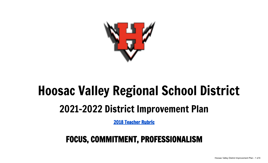

# Hoosac Valley Regional School District 2021-2022 District Improvement Plan

2018 [Teacher](https://drive.google.com/file/d/1Jjx-1a794SCm9wVf0gYYWcpCOtPq4YfF/view?usp=sharing) Rubric

# FOCUS, COMMITMENT, PROFESSIONALISM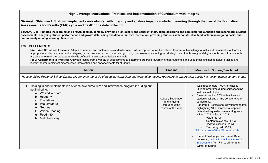## **High Leverage Instructional Practices and Implementation of Curriculum with Integrity**

*Strategic Objective 1:* **Staff will implement curriculum(s) with integrity and analyze impact on student learning through the use of the Formative Assessments for Results (FAR) cycle and FastBridge data collection.**

STANDARD I: Promotes the learning and growth of all students by providing high-quality and coherent instruction, designing and administering authentic and meaningful student assessments, analyzing student performance and growth data, using this data to improve instruction, providing students with constructive feedback on an ongoing basis, and **continuously refining learning objectives.**

## **FOCUS ELEMENTS**

- **I-A-3: Well Structured Lessons:** Adapts as needed and implements standards-based units comprised of well-structured lessons with challenging tasks and measurable outcomes; appropriate student engagement strategies, pacing, sequence, resources, and grouping; purposeful questioning; an strategic use of technology and digital media; such that students are able to learn the knowledge and skills defined in state standards/local curricula.
- **I-B-2: Adjustments to Practice:** Analyzes results from a variety of assessments to determine progress toward intended outcomes and uses these findings to adjust practice and identify and/or implement differentiated interventions and enhancements for students.

| <b>Action</b>                                                                                                                                                                                                                                                                       | <b>Timeline</b>                                                            | <b>Measure for Success/Benchmark</b>                                                                                                                                                                                                                                                                                                                                                                                                                                                                                                                                                                                                                                                        |  |  |
|-------------------------------------------------------------------------------------------------------------------------------------------------------------------------------------------------------------------------------------------------------------------------------------|----------------------------------------------------------------------------|---------------------------------------------------------------------------------------------------------------------------------------------------------------------------------------------------------------------------------------------------------------------------------------------------------------------------------------------------------------------------------------------------------------------------------------------------------------------------------------------------------------------------------------------------------------------------------------------------------------------------------------------------------------------------------------------|--|--|
| Hoosac Valley Regional School District will continue the cycle of updating curriculum and expanding teacher repertoire to ensure high quality instruction across content areas.                                                                                                     |                                                                            |                                                                                                                                                                                                                                                                                                                                                                                                                                                                                                                                                                                                                                                                                             |  |  |
| Training in and implementation of each new curriculum and intervention program including but<br>not limited to:<br>a. Wit and Wisdom<br>b. Heggerty<br>c. Fundations<br>Into Literature<br>d.<br>e. Geodes<br><b>Wilson Reading</b><br>Read 180<br>g.<br><b>Math Recovery</b><br>h. | August, September,<br>and ongoing<br>throughout the<br>course of the year. | Walkthrough data: 100% of classes<br>utilizing programs during corresponding<br>instructional blocks<br>Clever Analytics: 75% of teachers and<br>students utilizing online components of<br>curriculums.<br>Panorama Professional Development data<br>highlighting 10% increase in response<br>favorable to questions measuring from<br>Winter 2021 to Spring 2022:<br>Value (33%)<br>$\overline{\phantom{a}}$<br>Content relevance (35%)<br>Individualization (31%)<br>Teacher growth (53%)<br>Click here to access Winter 2021 survey results<br>Student Fastbridge Benchmark Data<br>measuring typical to ambitious rates of<br>improvement from Fall to Winter and<br>Winter to Spring. |  |  |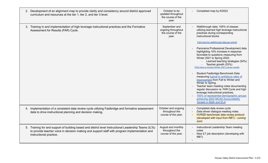| 2. Development of an alignment map to provide clarity and consistency around district approved<br>curriculum and resources at the tier 1, tier 2, and tier 3 level.                                                                | October to be<br>updated throughout<br>the course of the<br>year. | Completed map by 6/2022                                                                                                                                                                                                                                                                                                                                                                                                                                                                                                                                                                                        |
|------------------------------------------------------------------------------------------------------------------------------------------------------------------------------------------------------------------------------------|-------------------------------------------------------------------|----------------------------------------------------------------------------------------------------------------------------------------------------------------------------------------------------------------------------------------------------------------------------------------------------------------------------------------------------------------------------------------------------------------------------------------------------------------------------------------------------------------------------------------------------------------------------------------------------------------|
| 3. Training in and implementation of high leverage instructional practices and the Formative<br>Assessment for Results (FAR) Cycle.                                                                                                | September and<br>ongoing throughout<br>the course of the<br>year. | Walkthrough data: 100% of classes<br>utilizing learned high leverage instructional<br>practices during corresponding<br>instructional blocks<br>Click here for walkthrough data per school<br>Panorama Professional Development data<br>$\blacksquare$<br>highlighting 10% increase in response<br>favorable to questions measuring from<br>Winter 2021 to Spring 2022:<br>Learned teaching strategies (54%)<br>Teacher growth (53%)<br>Click here to access Winter 2021 survey results<br>Student Fastbridge Benchmark Data<br>measuring typical to ambitious rates of<br>improvement from Fall to Winter and |
|                                                                                                                                                                                                                                    |                                                                   | Winter to Spring.<br>Teacher team meeting notes documenting<br>regular discussion re: FAR Cycle and high<br>leverage instructional practices.<br>100% of represented demographic groups<br>achieving 2022 MCAS Accountability<br><b>Targets in Math and ELA</b>                                                                                                                                                                                                                                                                                                                                                |
| 4. Implementation of a consistent data review cycle utilizing Fastbridge and formative assessment<br>data to drive instructional planning and decision making.                                                                     | October and ongoing<br>throughout the<br>course of the year.      | Completed data review cycle<br>Data driven dialogue meeting notes<br>HVRSD benchmark data review protocol<br>(developed with input from RBT) - coming<br>soon                                                                                                                                                                                                                                                                                                                                                                                                                                                  |
| 5. Training for and support of building based and district level Instructional Leadership Teams (ILTs)<br>to provide teacher voice in decision making and support staff with program implementation and<br>instructional practice. | August and monthly<br>throughout the<br>course of the year.       | Instructional Leadership Team meeting<br>notes<br>New ILT job description (developing with<br>RBT)                                                                                                                                                                                                                                                                                                                                                                                                                                                                                                             |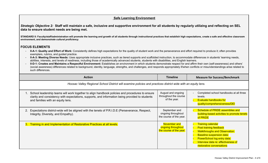# **Safe Learning Environment**

*Strategic Objective 2:* **Staff will maintain a safe, inclusive and supportive environment for all students by regularly utilizing and reflecting on SEL data to ensure student needs are being met.**

**STANDARD II: Faculty/staff/administration will promote the learning and growth of all students through instructional practices that establish high expectations, create a safe and effective classroom environment, and demo***nstrate cultural proficiency.*

#### **FOCUS ELEMENTS**

- **II-A-1: Quality and Effort of Work:** Consistently defines high expectations for the quality of student work and the perseverance and effort required to produce it; often provides exemplars, rubrics, and guided practice.
- II-A-3: Meeting Diverse Needs: Uses appropriate inclusive practices, such as tiered supports and scaffolded instruction, to accommodate differences in students' learning needs, abilities, interests, and levels of readiness, including those of academically advanced students, students with disabilities, and English learners.
- II-D-1: Creates and Maintains a Respectful Environment: Establishes an environment in which students demonstrate respect for and affirm their own (self-awareness) and others' (social awareness) differences related to background, identity, language, strengths, and challenges, and responds appropriately if/when conflicts or misunderstandings arise related to such differences.

|                                                                                                               | <b>Action</b>                                                                                                                                                                                                                          | <b>Timeline</b>                                                | <b>Measure for Success/Benchmark</b>                                                                                                                                                                                                     |  |
|---------------------------------------------------------------------------------------------------------------|----------------------------------------------------------------------------------------------------------------------------------------------------------------------------------------------------------------------------------------|----------------------------------------------------------------|------------------------------------------------------------------------------------------------------------------------------------------------------------------------------------------------------------------------------------------|--|
| Hoosac Valley Regional School District will examine policies and practices district wide with an equity lens. |                                                                                                                                                                                                                                        |                                                                |                                                                                                                                                                                                                                          |  |
|                                                                                                               | School leadership teams will work together to align handbook policies and procedures to ensure<br>clarity and consistency with expectations, supports, and information being provided to students<br>and families with an equity lens. | August and ongoing<br>throughout the course<br>of the year.    | Completed school handbooks at all three<br>levels.<br><b>Evaluate handbooks for</b><br>quality/comprehensiveness/DEI                                                                                                                     |  |
| $2_{\cdot}$                                                                                                   | Expectations district-wide will be aligned with the tenets of P.R.I.D.E (Perseverance, Respect,<br>Integrity, Diversity, and Empathy).                                                                                                 | September and<br>ongoing throughout<br>the course of the year. | Schedule of PRIDE assemblies and<br>building-based activities to promote tenets<br>of PRIDE                                                                                                                                              |  |
|                                                                                                               | 3. Training in and Implementation of Restorative Practices at all levels.                                                                                                                                                              | November and<br>ongoing throughout<br>the course of the year.  | <b>Training calendar</b><br><b>Post training feedback</b><br><b>Walkthroughs and Observation:</b><br><b>Baseline suspension data:</b><br>PowerSchool log entry data:<br>Interview data re: effectiveness of<br>restorative conversations |  |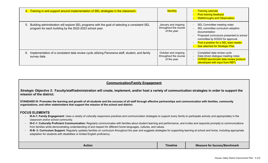| <u>4.</u> | Training in and support around implementation of SEL strategies in the classroom.                                                                           | <b>Monthly</b>                                               | <b>Training calendar</b><br><b>Post training feedback</b><br><b>Walkthroughs and Observation:</b>                                                                                                                                               |
|-----------|-------------------------------------------------------------------------------------------------------------------------------------------------------------|--------------------------------------------------------------|-------------------------------------------------------------------------------------------------------------------------------------------------------------------------------------------------------------------------------------------------|
|           | 5. Building administration will explore SEL programs with the goal of selecting a consistent SEL<br>program for each building by the 2022-2023 school year. | January and ongoing<br>throughout the course<br>of the year. | SEL Committee meeting notes<br>SEL committee curriculum adoption<br>documentation<br>Proposed curriculums presented to school<br>committee by 6/2022 for approval.<br>Post a position for a SEL team leader.<br>See attached for Strategic Plan |
| 6.        | Implementation of a consistent data review cycle utilizing Panorama staff, student, and family<br>survey data.                                              | October and ongoing<br>throughout the course<br>of the year. | Completed data review cycle<br>Data driven dialogue meeting notes<br><b>HVRSD benchmark data review protocol</b><br>(developed with input from RBT)                                                                                             |

#### **Communication/Family Engagement**

*Strategic Objective 3:* **Faculty/staff/administration will create, implement, and/or host a variety of communication strategies in order to support the mission of the district.**

STANDARD III: Promotes the learning and growth of all students and the success of all staff through effective partnerships and communication with families, community **organizations, and other stakeholders that support the mission of the school and district.**

#### **FOCUS ELEMENTS**

- III-A-1: Family Engagement: Uses a variety of culturally responsive practices and communication strategies to support every family to participate actively and appropriately in the classroom and/or school community.
- **III-C-1: Culturally Proficient Communication:** Regularly communicates with families about student learning and performance, and invites and responds promptly to communications from families while demonstrating understanding of and respect for different home languages, cultures, and values.
- **III-B-2: Curriculum Support:** Regularly updates families on curriculum throughout the year and suggests strategies for supporting learning at school and home, including appropriate adaptation for students with disabilities or limited English proficiency.

| Action | <b>Timeline</b> | Measure for <b>S</b><br><sup>.</sup> Success/Benchmark |
|--------|-----------------|--------------------------------------------------------|